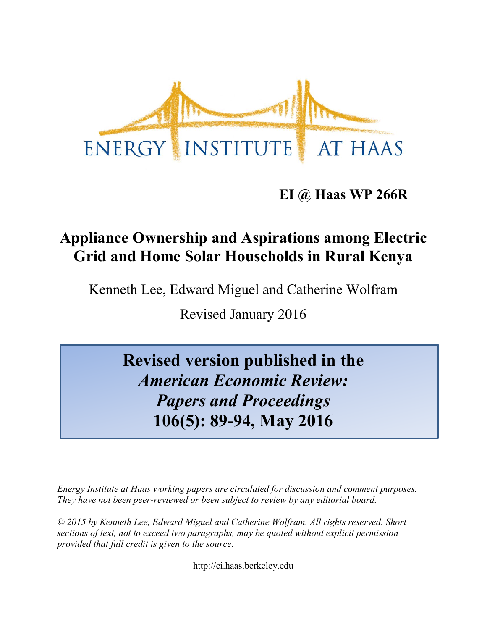

**EI @ Haas WP 266R**

# **Appliance Ownership and Aspirations among Electric Grid and Home Solar Households in Rural Kenya**

Kenneth Lee, Edward Miguel and Catherine Wolfram

Revised January 2016

**Revised version published in the**  *American Economic Review: Papers and Proceedings* **106(5): 89-94, May 2016**

*Energy Institute at Haas working papers are circulated for discussion and comment purposes. They have not been peer-reviewed or been subject to review by any editorial board.*

*© 2015 by Kenneth Lee, Edward Miguel and Catherine Wolfram. All rights reserved. Short sections of text, not to exceed two paragraphs, may be quoted without explicit permission provided that full credit is given to the source.*

http://ei.haas.berkeley.edu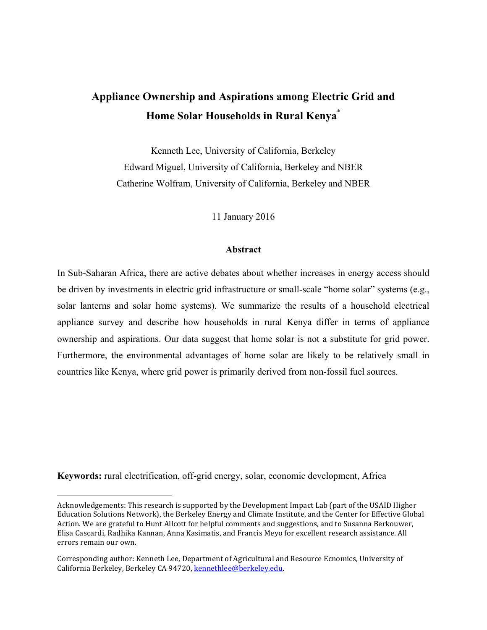## **Appliance Ownership and Aspirations among Electric Grid and Home Solar Households in Rural Kenya**\*

Kenneth Lee, University of California, Berkeley Edward Miguel, University of California, Berkeley and NBER Catherine Wolfram, University of California, Berkeley and NBER

11 January 2016

#### **Abstract**

In Sub-Saharan Africa, there are active debates about whether increases in energy access should be driven by investments in electric grid infrastructure or small-scale "home solar" systems (e.g., solar lanterns and solar home systems). We summarize the results of a household electrical appliance survey and describe how households in rural Kenya differ in terms of appliance ownership and aspirations. Our data suggest that home solar is not a substitute for grid power. Furthermore, the environmental advantages of home solar are likely to be relatively small in countries like Kenya, where grid power is primarily derived from non-fossil fuel sources.

**Keywords:** rural electrification, off-grid energy, solar, economic development, Africa

 

Acknowledgements: This research is supported by the Development Impact Lab (part of the USAID Higher Education Solutions Network), the Berkeley Energy and Climate Institute, and the Center for Effective Global Action. We are grateful to Hunt Allcott for helpful comments and suggestions, and to Susanna Berkouwer, Elisa Cascardi, Radhika Kannan, Anna Kasimatis, and Francis Meyo for excellent research assistance. All errors remain our own.

Corresponding author: Kenneth Lee, Department of Agricultural and Resource Ecnomics, University of California Berkeley, Berkeley CA 94720, kennethlee@berkeley.edu.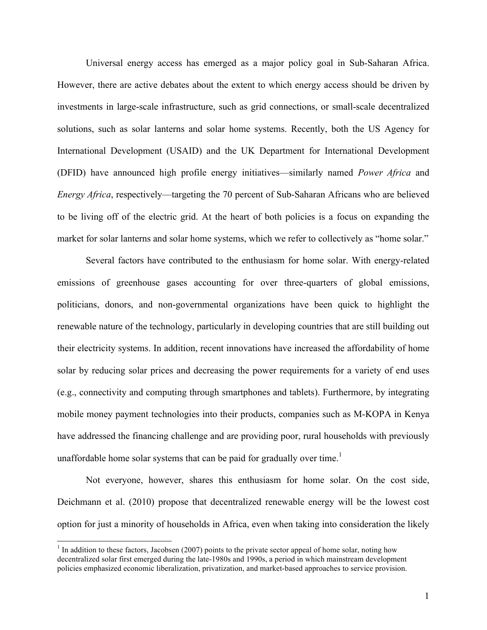Universal energy access has emerged as a major policy goal in Sub-Saharan Africa. However, there are active debates about the extent to which energy access should be driven by investments in large-scale infrastructure, such as grid connections, or small-scale decentralized solutions, such as solar lanterns and solar home systems. Recently, both the US Agency for International Development (USAID) and the UK Department for International Development (DFID) have announced high profile energy initiatives—similarly named *Power Africa* and *Energy Africa*, respectively—targeting the 70 percent of Sub-Saharan Africans who are believed to be living off of the electric grid. At the heart of both policies is a focus on expanding the market for solar lanterns and solar home systems, which we refer to collectively as "home solar."

Several factors have contributed to the enthusiasm for home solar. With energy-related emissions of greenhouse gases accounting for over three-quarters of global emissions, politicians, donors, and non-governmental organizations have been quick to highlight the renewable nature of the technology, particularly in developing countries that are still building out their electricity systems. In addition, recent innovations have increased the affordability of home solar by reducing solar prices and decreasing the power requirements for a variety of end uses (e.g., connectivity and computing through smartphones and tablets). Furthermore, by integrating mobile money payment technologies into their products, companies such as M-KOPA in Kenya have addressed the financing challenge and are providing poor, rural households with previously unaffordable home solar systems that can be paid for gradually over time.<sup>1</sup>

Not everyone, however, shares this enthusiasm for home solar. On the cost side, Deichmann et al. (2010) propose that decentralized renewable energy will be the lowest cost option for just a minority of households in Africa, even when taking into consideration the likely

 $<sup>1</sup>$  In addition to these factors, Jacobsen (2007) points to the private sector appeal of home solar, noting how</sup> decentralized solar first emerged during the late-1980s and 1990s, a period in which mainstream development policies emphasized economic liberalization, privatization, and market-based approaches to service provision.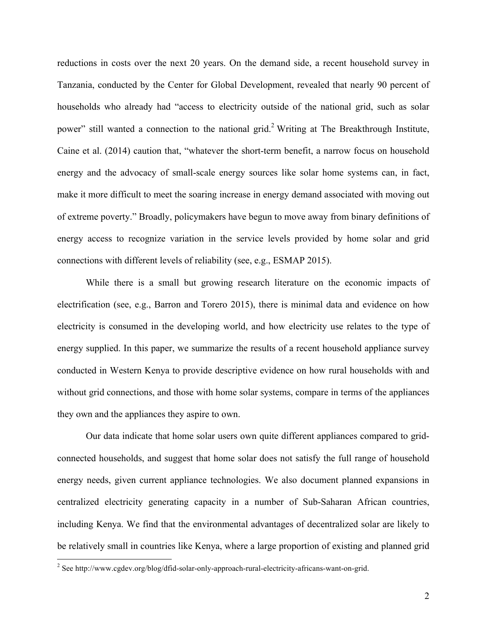reductions in costs over the next 20 years. On the demand side, a recent household survey in Tanzania, conducted by the Center for Global Development, revealed that nearly 90 percent of households who already had "access to electricity outside of the national grid, such as solar power" still wanted a connection to the national grid.<sup>2</sup> Writing at The Breakthrough Institute, Caine et al. (2014) caution that, "whatever the short-term benefit, a narrow focus on household energy and the advocacy of small-scale energy sources like solar home systems can, in fact, make it more difficult to meet the soaring increase in energy demand associated with moving out of extreme poverty." Broadly, policymakers have begun to move away from binary definitions of energy access to recognize variation in the service levels provided by home solar and grid connections with different levels of reliability (see, e.g., ESMAP 2015).

While there is a small but growing research literature on the economic impacts of electrification (see, e.g., Barron and Torero 2015), there is minimal data and evidence on how electricity is consumed in the developing world, and how electricity use relates to the type of energy supplied. In this paper, we summarize the results of a recent household appliance survey conducted in Western Kenya to provide descriptive evidence on how rural households with and without grid connections, and those with home solar systems, compare in terms of the appliances they own and the appliances they aspire to own.

Our data indicate that home solar users own quite different appliances compared to gridconnected households, and suggest that home solar does not satisfy the full range of household energy needs, given current appliance technologies. We also document planned expansions in centralized electricity generating capacity in a number of Sub-Saharan African countries, including Kenya. We find that the environmental advantages of decentralized solar are likely to be relatively small in countries like Kenya, where a large proportion of existing and planned grid

 <sup>2</sup> See http://www.cgdev.org/blog/dfid-solar-only-approach-rural-electricity-africans-want-on-grid.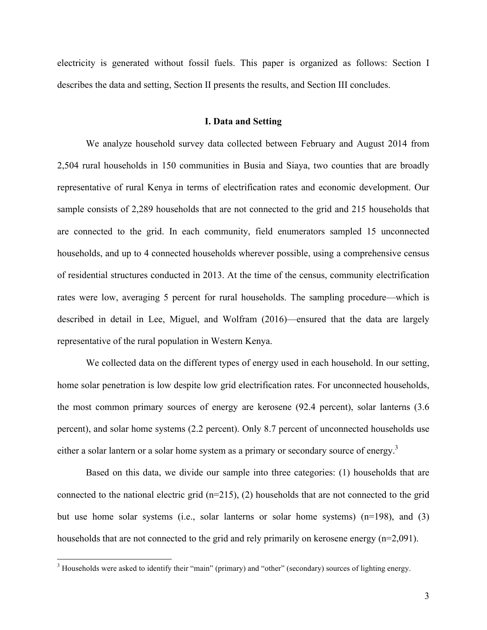electricity is generated without fossil fuels. This paper is organized as follows: Section I describes the data and setting, Section II presents the results, and Section III concludes.

#### **I. Data and Setting**

We analyze household survey data collected between February and August 2014 from 2,504 rural households in 150 communities in Busia and Siaya, two counties that are broadly representative of rural Kenya in terms of electrification rates and economic development. Our sample consists of 2,289 households that are not connected to the grid and 215 households that are connected to the grid. In each community, field enumerators sampled 15 unconnected households, and up to 4 connected households wherever possible, using a comprehensive census of residential structures conducted in 2013. At the time of the census, community electrification rates were low, averaging 5 percent for rural households. The sampling procedure—which is described in detail in Lee, Miguel, and Wolfram (2016)—ensured that the data are largely representative of the rural population in Western Kenya.

We collected data on the different types of energy used in each household. In our setting, home solar penetration is low despite low grid electrification rates. For unconnected households, the most common primary sources of energy are kerosene (92.4 percent), solar lanterns (3.6 percent), and solar home systems (2.2 percent). Only 8.7 percent of unconnected households use either a solar lantern or a solar home system as a primary or secondary source of energy.<sup>3</sup>

Based on this data, we divide our sample into three categories: (1) households that are connected to the national electric grid (n=215), (2) households that are not connected to the grid but use home solar systems (i.e., solar lanterns or solar home systems)  $(n=198)$ , and (3) households that are not connected to the grid and rely primarily on kerosene energy (n=2,091).

<sup>&</sup>lt;sup>3</sup> Households were asked to identify their "main" (primary) and "other" (secondary) sources of lighting energy.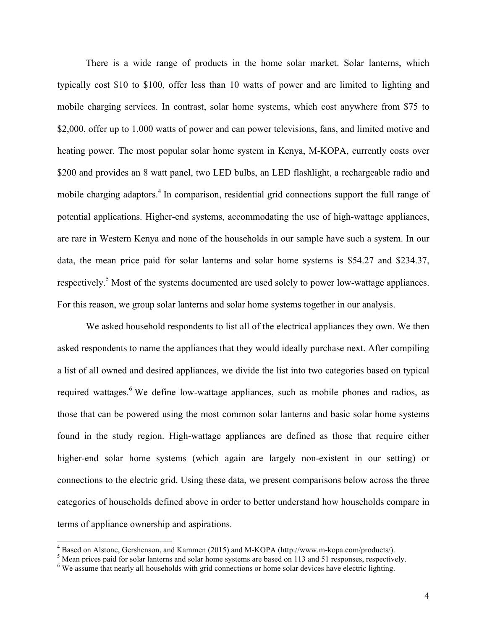There is a wide range of products in the home solar market. Solar lanterns, which typically cost \$10 to \$100, offer less than 10 watts of power and are limited to lighting and mobile charging services. In contrast, solar home systems, which cost anywhere from \$75 to \$2,000, offer up to 1,000 watts of power and can power televisions, fans, and limited motive and heating power. The most popular solar home system in Kenya, M-KOPA, currently costs over \$200 and provides an 8 watt panel, two LED bulbs, an LED flashlight, a rechargeable radio and mobile charging adaptors.<sup>4</sup> In comparison, residential grid connections support the full range of potential applications. Higher-end systems, accommodating the use of high-wattage appliances, are rare in Western Kenya and none of the households in our sample have such a system. In our data, the mean price paid for solar lanterns and solar home systems is \$54.27 and \$234.37, respectively.<sup>5</sup> Most of the systems documented are used solely to power low-wattage appliances. For this reason, we group solar lanterns and solar home systems together in our analysis.

We asked household respondents to list all of the electrical appliances they own. We then asked respondents to name the appliances that they would ideally purchase next. After compiling a list of all owned and desired appliances, we divide the list into two categories based on typical required wattages.<sup>6</sup> We define low-wattage appliances, such as mobile phones and radios, as those that can be powered using the most common solar lanterns and basic solar home systems found in the study region. High-wattage appliances are defined as those that require either higher-end solar home systems (which again are largely non-existent in our setting) or connections to the electric grid. Using these data, we present comparisons below across the three categories of households defined above in order to better understand how households compare in terms of appliance ownership and aspirations.

<sup>&</sup>lt;sup>4</sup> Based on Alstone, Gershenson, and Kammen (2015) and M-KOPA (http://www.m-kopa.com/products/).<br><sup>5</sup> Mean prices paid for solar lanterns and solar home systems are based on 113 and 51 responses, respectively.<br><sup>6</sup> We assu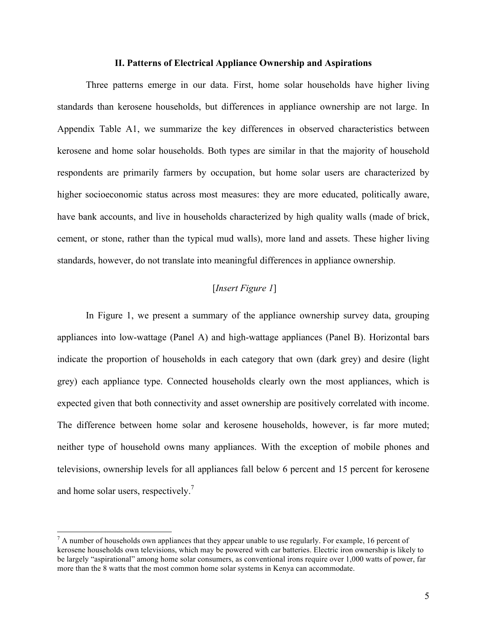#### **II. Patterns of Electrical Appliance Ownership and Aspirations**

Three patterns emerge in our data. First, home solar households have higher living standards than kerosene households, but differences in appliance ownership are not large. In Appendix Table A1, we summarize the key differences in observed characteristics between kerosene and home solar households. Both types are similar in that the majority of household respondents are primarily farmers by occupation, but home solar users are characterized by higher socioeconomic status across most measures: they are more educated, politically aware, have bank accounts, and live in households characterized by high quality walls (made of brick, cement, or stone, rather than the typical mud walls), more land and assets. These higher living standards, however, do not translate into meaningful differences in appliance ownership.

#### [*Insert Figure 1*]

In Figure 1, we present a summary of the appliance ownership survey data, grouping appliances into low-wattage (Panel A) and high-wattage appliances (Panel B). Horizontal bars indicate the proportion of households in each category that own (dark grey) and desire (light grey) each appliance type. Connected households clearly own the most appliances, which is expected given that both connectivity and asset ownership are positively correlated with income. The difference between home solar and kerosene households, however, is far more muted; neither type of household owns many appliances. With the exception of mobile phones and televisions, ownership levels for all appliances fall below 6 percent and 15 percent for kerosene and home solar users, respectively.<sup>7</sup>

 $<sup>7</sup>$  A number of households own appliances that they appear unable to use regularly. For example, 16 percent of</sup> kerosene households own televisions, which may be powered with car batteries. Electric iron ownership is likely to be largely "aspirational" among home solar consumers, as conventional irons require over 1,000 watts of power, far more than the 8 watts that the most common home solar systems in Kenya can accommodate.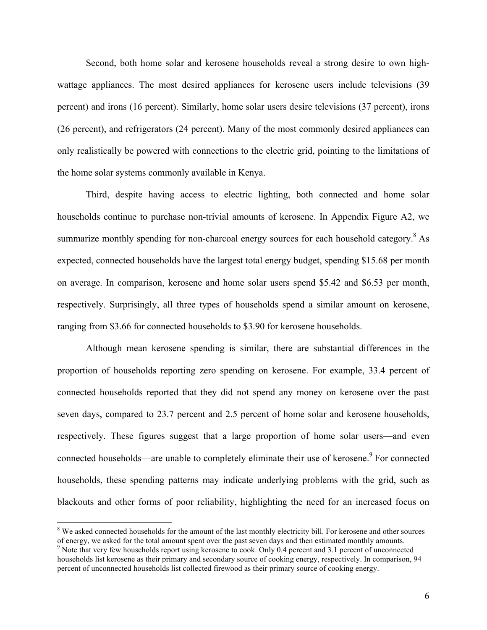Second, both home solar and kerosene households reveal a strong desire to own highwattage appliances. The most desired appliances for kerosene users include televisions (39 percent) and irons (16 percent). Similarly, home solar users desire televisions (37 percent), irons (26 percent), and refrigerators (24 percent). Many of the most commonly desired appliances can only realistically be powered with connections to the electric grid, pointing to the limitations of the home solar systems commonly available in Kenya.

Third, despite having access to electric lighting, both connected and home solar households continue to purchase non-trivial amounts of kerosene. In Appendix Figure A2, we summarize monthly spending for non-charcoal energy sources for each household category.<sup>8</sup> As expected, connected households have the largest total energy budget, spending \$15.68 per month on average. In comparison, kerosene and home solar users spend \$5.42 and \$6.53 per month, respectively. Surprisingly, all three types of households spend a similar amount on kerosene, ranging from \$3.66 for connected households to \$3.90 for kerosene households.

Although mean kerosene spending is similar, there are substantial differences in the proportion of households reporting zero spending on kerosene. For example, 33.4 percent of connected households reported that they did not spend any money on kerosene over the past seven days, compared to 23.7 percent and 2.5 percent of home solar and kerosene households, respectively. These figures suggest that a large proportion of home solar users—and even connected households—are unable to completely eliminate their use of kerosene.<sup>9</sup> For connected households, these spending patterns may indicate underlying problems with the grid, such as blackouts and other forms of poor reliability, highlighting the need for an increased focus on

<sup>&</sup>lt;sup>8</sup> We asked connected households for the amount of the last monthly electricity bill. For kerosene and other sources of energy, we asked for the total amount spent over the past seven days and then estimated monthly amounts. <sup>9</sup> Note that very few households report using kerosene to cook. Only 0.4 percent and 3.1 percent of unconnected

households list kerosene as their primary and secondary source of cooking energy, respectively. In comparison, 94 percent of unconnected households list collected firewood as their primary source of cooking energy.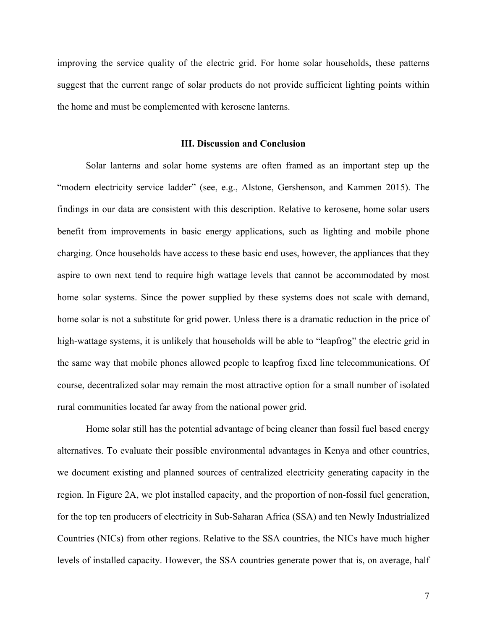improving the service quality of the electric grid. For home solar households, these patterns suggest that the current range of solar products do not provide sufficient lighting points within the home and must be complemented with kerosene lanterns.

#### **III. Discussion and Conclusion**

Solar lanterns and solar home systems are often framed as an important step up the "modern electricity service ladder" (see, e.g., Alstone, Gershenson, and Kammen 2015). The findings in our data are consistent with this description. Relative to kerosene, home solar users benefit from improvements in basic energy applications, such as lighting and mobile phone charging. Once households have access to these basic end uses, however, the appliances that they aspire to own next tend to require high wattage levels that cannot be accommodated by most home solar systems. Since the power supplied by these systems does not scale with demand, home solar is not a substitute for grid power. Unless there is a dramatic reduction in the price of high-wattage systems, it is unlikely that households will be able to "leapfrog" the electric grid in the same way that mobile phones allowed people to leapfrog fixed line telecommunications. Of course, decentralized solar may remain the most attractive option for a small number of isolated rural communities located far away from the national power grid.

Home solar still has the potential advantage of being cleaner than fossil fuel based energy alternatives. To evaluate their possible environmental advantages in Kenya and other countries, we document existing and planned sources of centralized electricity generating capacity in the region. In Figure 2A, we plot installed capacity, and the proportion of non-fossil fuel generation, for the top ten producers of electricity in Sub-Saharan Africa (SSA) and ten Newly Industrialized Countries (NICs) from other regions. Relative to the SSA countries, the NICs have much higher levels of installed capacity. However, the SSA countries generate power that is, on average, half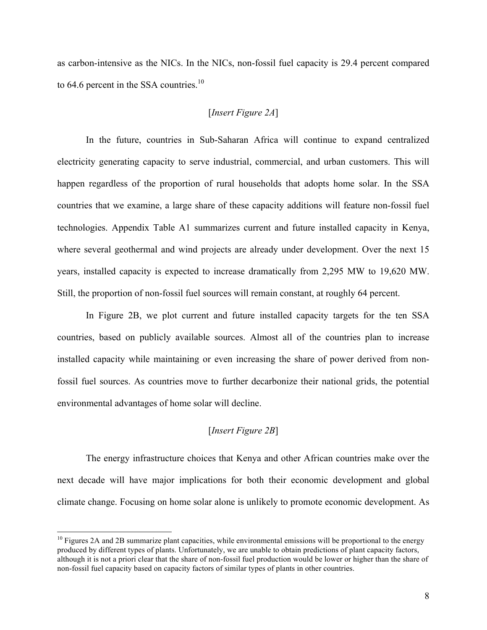as carbon-intensive as the NICs. In the NICs, non-fossil fuel capacity is 29.4 percent compared to 64.6 percent in the SSA countries.<sup>10</sup>

#### [*Insert Figure 2A*]

In the future, countries in Sub-Saharan Africa will continue to expand centralized electricity generating capacity to serve industrial, commercial, and urban customers. This will happen regardless of the proportion of rural households that adopts home solar. In the SSA countries that we examine, a large share of these capacity additions will feature non-fossil fuel technologies. Appendix Table A1 summarizes current and future installed capacity in Kenya, where several geothermal and wind projects are already under development. Over the next 15 years, installed capacity is expected to increase dramatically from 2,295 MW to 19,620 MW. Still, the proportion of non-fossil fuel sources will remain constant, at roughly 64 percent.

In Figure 2B, we plot current and future installed capacity targets for the ten SSA countries, based on publicly available sources. Almost all of the countries plan to increase installed capacity while maintaining or even increasing the share of power derived from nonfossil fuel sources. As countries move to further decarbonize their national grids, the potential environmental advantages of home solar will decline.

#### [*Insert Figure 2B*]

The energy infrastructure choices that Kenya and other African countries make over the next decade will have major implications for both their economic development and global climate change. Focusing on home solar alone is unlikely to promote economic development. As

 $10$  Figures 2A and 2B summarize plant capacities, while environmental emissions will be proportional to the energy produced by different types of plants. Unfortunately, we are unable to obtain predictions of plant capacity factors, although it is not a priori clear that the share of non-fossil fuel production would be lower or higher than the share of non-fossil fuel capacity based on capacity factors of similar types of plants in other countries.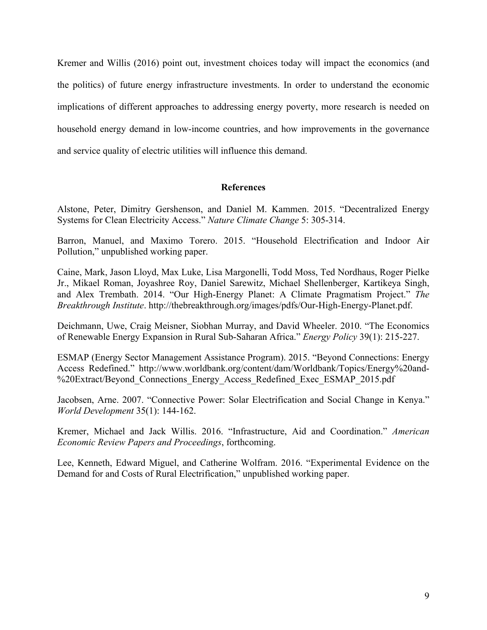Kremer and Willis (2016) point out, investment choices today will impact the economics (and the politics) of future energy infrastructure investments. In order to understand the economic implications of different approaches to addressing energy poverty, more research is needed on household energy demand in low-income countries, and how improvements in the governance and service quality of electric utilities will influence this demand.

#### **References**

Alstone, Peter, Dimitry Gershenson, and Daniel M. Kammen. 2015. "Decentralized Energy Systems for Clean Electricity Access." *Nature Climate Change* 5: 305-314.

Barron, Manuel, and Maximo Torero. 2015. "Household Electrification and Indoor Air Pollution," unpublished working paper.

Caine, Mark, Jason Lloyd, Max Luke, Lisa Margonelli, Todd Moss, Ted Nordhaus, Roger Pielke Jr., Mikael Roman, Joyashree Roy, Daniel Sarewitz, Michael Shellenberger, Kartikeya Singh, and Alex Trembath. 2014. "Our High-Energy Planet: A Climate Pragmatism Project." *The Breakthrough Institute*. http://thebreakthrough.org/images/pdfs/Our-High-Energy-Planet.pdf.

Deichmann, Uwe, Craig Meisner, Siobhan Murray, and David Wheeler. 2010. "The Economics of Renewable Energy Expansion in Rural Sub-Saharan Africa." *Energy Policy* 39(1): 215-227.

ESMAP (Energy Sector Management Assistance Program). 2015. "Beyond Connections: Energy Access Redefined." http://www.worldbank.org/content/dam/Worldbank/Topics/Energy%20and- %20Extract/Beyond Connections Energy Access Redefined Exec ESMAP 2015.pdf

Jacobsen, Arne. 2007. "Connective Power: Solar Electrification and Social Change in Kenya." *World Development* 35(1): 144-162.

Kremer, Michael and Jack Willis. 2016. "Infrastructure, Aid and Coordination." *American Economic Review Papers and Proceedings*, forthcoming.

Lee, Kenneth, Edward Miguel, and Catherine Wolfram. 2016. "Experimental Evidence on the Demand for and Costs of Rural Electrification," unpublished working paper.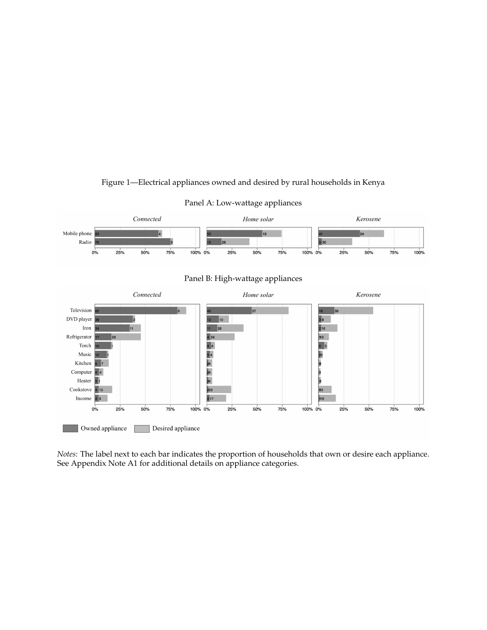

#### Figure 1—Electrical appliances owned and desired by rural households in Kenya

Panel A: Low-wattage appliances

*Notes*: The label next to each bar indicates the proportion of households that own or desire each appliance. See Appendix Note A1 for additional details on appliance categories.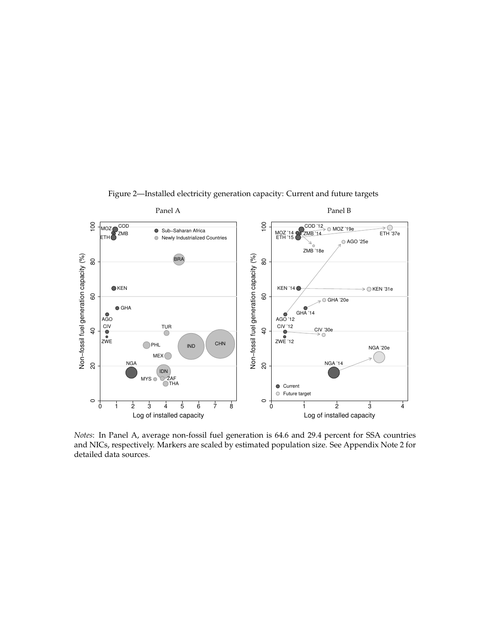

Figure 2—Installed electricity generation capacity: Current and future targets

*Notes*: In Panel A, average non-fossil fuel generation is 64.6 and 29.4 percent for SSA countries and NICs, respectively. Markers are scaled by estimated population size. See Appendix Note 2 for detailed data sources.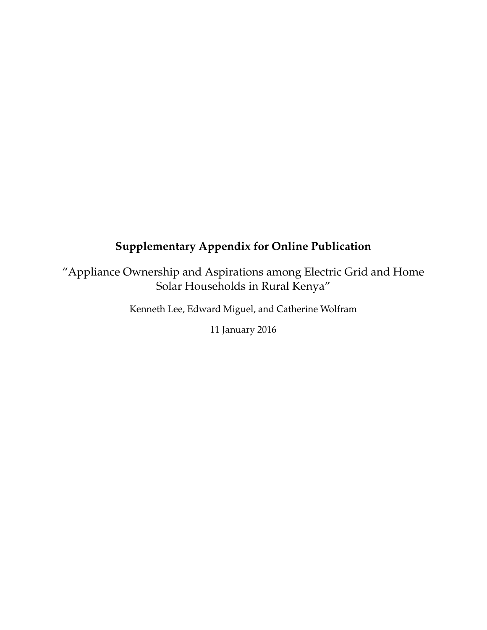## **Supplementary Appendix for Online Publication**

"Appliance Ownership and Aspirations among Electric Grid and Home Solar Households in Rural Kenya"

Kenneth Lee, Edward Miguel, and Catherine Wolfram

11 January 2016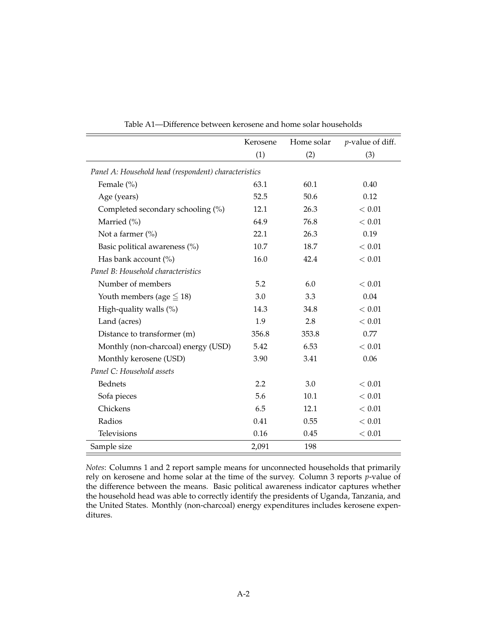|                                                      | Kerosene | Home solar | <i>p</i> -value of diff. |  |  |  |
|------------------------------------------------------|----------|------------|--------------------------|--|--|--|
|                                                      | (1)      | (2)        | (3)                      |  |  |  |
| Panel A: Household head (respondent) characteristics |          |            |                          |  |  |  |
| Female (%)                                           | 63.1     | 60.1       | 0.40                     |  |  |  |
| Age (years)                                          | 52.5     | 50.6       | 0.12                     |  |  |  |
| Completed secondary schooling (%)                    | 12.1     | 26.3       | < 0.01                   |  |  |  |
| Married (%)                                          | 64.9     | 76.8       | < 0.01                   |  |  |  |
| Not a farmer $(\%)$                                  | 22.1     | 26.3       | 0.19                     |  |  |  |
| Basic political awareness (%)                        | 10.7     | 18.7       | < 0.01                   |  |  |  |
| Has bank account (%)                                 | 16.0     | 42.4       | < 0.01                   |  |  |  |
| Panel B: Household characteristics                   |          |            |                          |  |  |  |
| Number of members                                    | 5.2      | 6.0        | < 0.01                   |  |  |  |
| Youth members (age $\leq$ 18)                        | 3.0      | 3.3        | 0.04                     |  |  |  |
| High-quality walls (%)                               | 14.3     | 34.8       | < 0.01                   |  |  |  |
| Land (acres)                                         | 1.9      | 2.8        | < 0.01                   |  |  |  |
| Distance to transformer (m)                          | 356.8    | 353.8      | 0.77                     |  |  |  |
| Monthly (non-charcoal) energy (USD)                  | 5.42     | 6.53       | < 0.01                   |  |  |  |
| Monthly kerosene (USD)                               | 3.90     | 3.41       | 0.06                     |  |  |  |
| Panel C: Household assets                            |          |            |                          |  |  |  |
| <b>Bednets</b>                                       | 2.2      | 3.0        | < 0.01                   |  |  |  |
| Sofa pieces                                          | 5.6      | 10.1       | < 0.01                   |  |  |  |
| Chickens                                             | 6.5      | 12.1       | < 0.01                   |  |  |  |
| Radios                                               | 0.41     | 0.55       | < 0.01                   |  |  |  |
| Televisions                                          | 0.16     | 0.45       | < 0.01                   |  |  |  |
| Sample size                                          | 2,091    | 198        |                          |  |  |  |

Table A1—Difference between kerosene and home solar households

*Notes*: Columns 1 and 2 report sample means for unconnected households that primarily rely on kerosene and home solar at the time of the survey. Column 3 reports *p*-value of the difference between the means. Basic political awareness indicator captures whether the household head was able to correctly identify the presidents of Uganda, Tanzania, and the United States. Monthly (non-charcoal) energy expenditures includes kerosene expenditures.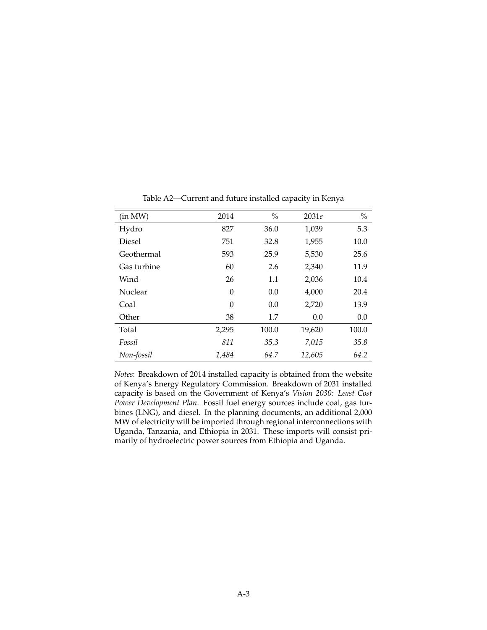| (in MW)     | 2014     | $\%$  | 2031e  | $\%$  |
|-------------|----------|-------|--------|-------|
| Hydro       | 827      | 36.0  | 1,039  | 5.3   |
| Diesel      | 751      | 32.8  | 1,955  | 10.0  |
| Geothermal  | 593      | 25.9  | 5,530  | 25.6  |
| Gas turbine | 60       | 2.6   | 2,340  | 11.9  |
| Wind        | 26       | 1.1   | 2,036  | 10.4  |
| Nuclear     | $\theta$ | 0.0   | 4,000  | 20.4  |
| Coal        | $\theta$ | 0.0   | 2,720  | 13.9  |
| Other       | 38       | 1.7   | 0.0    | 0.0   |
| Total       | 2,295    | 100.0 | 19,620 | 100.0 |
| Fossil      | 811      | 35.3  | 7,015  | 35.8  |
| Non-fossil  | 1,484    | 64.7  | 12,605 | 64.2  |

Table A2—Current and future installed capacity in Kenya

*Notes*: Breakdown of 2014 installed capacity is obtained from the website of Kenya's Energy Regulatory Commission. Breakdown of 2031 installed capacity is based on the Government of Kenya's *Vision 2030: Least Cost Power Development Plan*. Fossil fuel energy sources include coal, gas turbines (LNG), and diesel. In the planning documents, an additional 2,000 MW of electricity will be imported through regional interconnections with Uganda, Tanzania, and Ethiopia in 2031. These imports will consist primarily of hydroelectric power sources from Ethiopia and Uganda.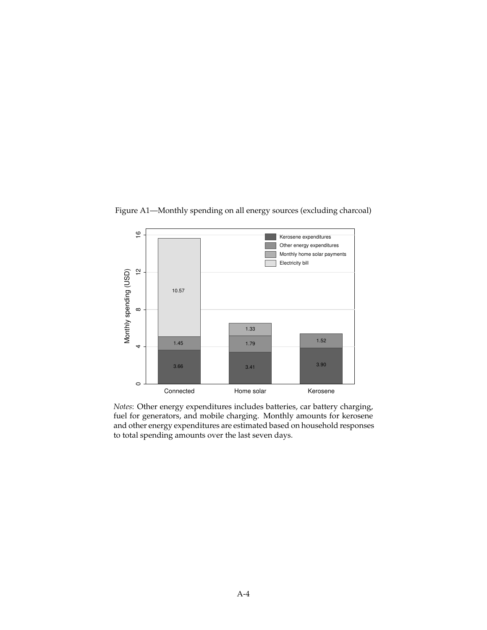

Figure A1—Monthly spending on all energy sources (excluding charcoal)

*Notes*: Other energy expenditures includes batteries, car battery charging, fuel for generators, and mobile charging. Monthly amounts for kerosene and other energy expenditures are estimated based on household responses to total spending amounts over the last seven days.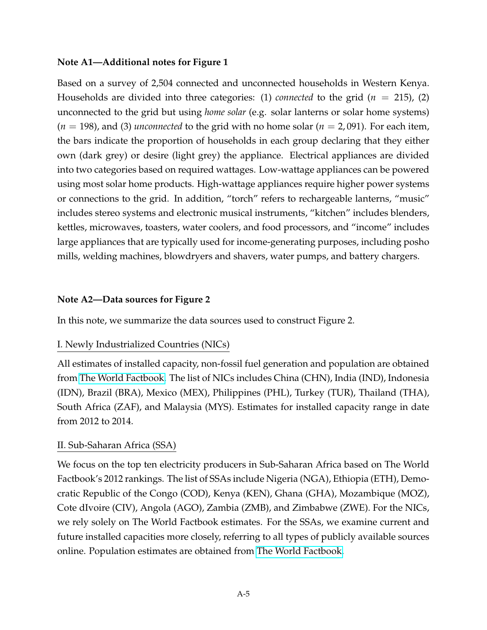#### **Note A1—Additional notes for Figure 1**

Based on a survey of 2,504 connected and unconnected households in Western Kenya. Households are divided into three categories: (1) *connected* to the grid ( $n = 215$ ), (2) unconnected to the grid but using *home solar* (e.g. solar lanterns or solar home systems)  $(n = 198)$ , and (3) *unconnected* to the grid with no home solar ( $n = 2,091$ ). For each item, the bars indicate the proportion of households in each group declaring that they either own (dark grey) or desire (light grey) the appliance. Electrical appliances are divided into two categories based on required wattages. Low-wattage appliances can be powered using most solar home products. High-wattage appliances require higher power systems or connections to the grid. In addition, "torch" refers to rechargeable lanterns, "music" includes stereo systems and electronic musical instruments, "kitchen" includes blenders, kettles, microwaves, toasters, water coolers, and food processors, and "income" includes large appliances that are typically used for income-generating purposes, including posho mills, welding machines, blowdryers and shavers, water pumps, and battery chargers.

#### **Note A2—Data sources for Figure 2**

In this note, we summarize the data sources used to construct Figure 2.

#### I. Newly Industrialized Countries (NICs)

All estimates of installed capacity, non-fossil fuel generation and population are obtained from [The World Factbook.](https://www.cia.gov/library/publications/the-world-factbook/) The list of NICs includes China (CHN), India (IND), Indonesia (IDN), Brazil (BRA), Mexico (MEX), Philippines (PHL), Turkey (TUR), Thailand (THA), South Africa (ZAF), and Malaysia (MYS). Estimates for installed capacity range in date from 2012 to 2014.

#### II. Sub-Saharan Africa (SSA)

We focus on the top ten electricity producers in Sub-Saharan Africa based on The World Factbook's 2012 rankings. The list of SSAs include Nigeria (NGA), Ethiopia (ETH), Democratic Republic of the Congo (COD), Kenya (KEN), Ghana (GHA), Mozambique (MOZ), Cote dIvoire (CIV), Angola (AGO), Zambia (ZMB), and Zimbabwe (ZWE). For the NICs, we rely solely on The World Factbook estimates. For the SSAs, we examine current and future installed capacities more closely, referring to all types of publicly available sources online. Population estimates are obtained from [The World Factbook.](https://www.cia.gov/library/publications/the-world-factbook/)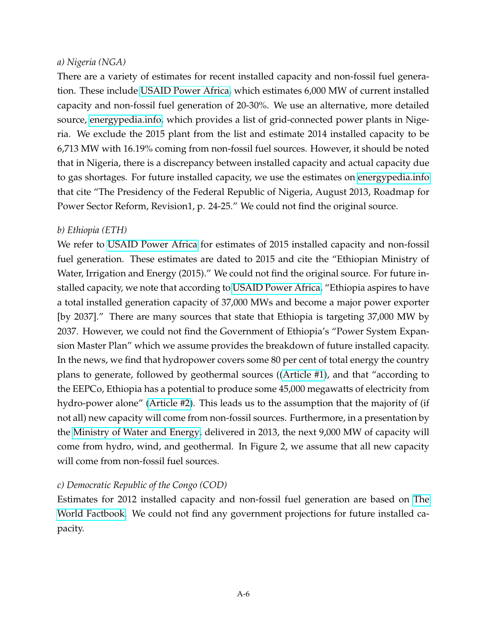### *a) Nigeria (NGA)*

There are a variety of estimates for recent installed capacity and non-fossil fuel generation. These include [USAID Power Africa,](https://www.usaid.gov/sites/default/files/documents/1860/Nigeria Country Fact Sheet_05_04_15.pdf) which estimates 6,000 MW of current installed capacity and non-fossil fuel generation of 20-30%. We use an alternative, more detailed source, [energypedia.info,](https://energypedia.info/wiki/Nigeria_Energy_Situation) which provides a list of grid-connected power plants in Nigeria. We exclude the 2015 plant from the list and estimate 2014 installed capacity to be 6,713 MW with 16.19% coming from non-fossil fuel sources. However, it should be noted that in Nigeria, there is a discrepancy between installed capacity and actual capacity due to gas shortages. For future installed capacity, we use the estimates on [energypedia.info](https://energypedia.info/wiki/Nigeria_Energy_Situation) that cite "The Presidency of the Federal Republic of Nigeria, August 2013, Roadmap for Power Sector Reform, Revision1, p. 24-25." We could not find the original source.

### *b) Ethiopia (ETH)*

We refer to [USAID Power Africa](https://www.usaid.gov/sites/default/files/documents/1860/Ethiopia Country Fact Sheet__6_16_15 (1).pdf) for estimates of 2015 installed capacity and non-fossil fuel generation. These estimates are dated to 2015 and cite the "Ethiopian Ministry of Water, Irrigation and Energy (2015)." We could not find the original source. For future installed capacity, we note that according to [USAID Power Africa,](https://www.usaid.gov/sites/default/files/documents/1860/Ethiopia Country Fact Sheet__6_16_15 (1).pdf) "Ethiopia aspires to have a total installed generation capacity of 37,000 MWs and become a major power exporter [by 2037]." There are many sources that state that Ethiopia is targeting 37,000 MW by 2037. However, we could not find the Government of Ethiopia's "Power System Expansion Master Plan" which we assume provides the breakdown of future installed capacity. In the news, we find that hydropower covers some 80 per cent of total energy the country plans to generate, followed by geothermal sources ([\(Article #1\)](http://www.africareview.com/Business---Finance/Ethiopia-mulls-1200MW-from-nuclear-energy/-/979184/2089920/-/28a2gjz/-/index.html), and that "according to the EEPCo, Ethiopia has a potential to produce some 45,000 megawatts of electricity from hydro-power alone" [\(Article #2\)](http://www.sudantribune.com/spip.php?article48958). This leads us to the assumption that the majority of (if not all) new capacity will come from non-fossil sources. Furthermore, in a presentation by the [Ministry of Water and Energy,](https://irena.org/DocumentDownloads/events/2013/July/Africa CEC session 3_Ministry of Water and Energy Ethiopia_Beyene_220613.pdf) delivered in 2013, the next 9,000 MW of capacity will come from hydro, wind, and geothermal. In Figure 2, we assume that all new capacity will come from non-fossil fuel sources.

## *c) Democratic Republic of the Congo (COD)*

Estimates for 2012 installed capacity and non-fossil fuel generation are based on [The](https://www.cia.gov/library/publications/the-world-factbook/) [World Factbook.](https://www.cia.gov/library/publications/the-world-factbook/) We could not find any government projections for future installed capacity.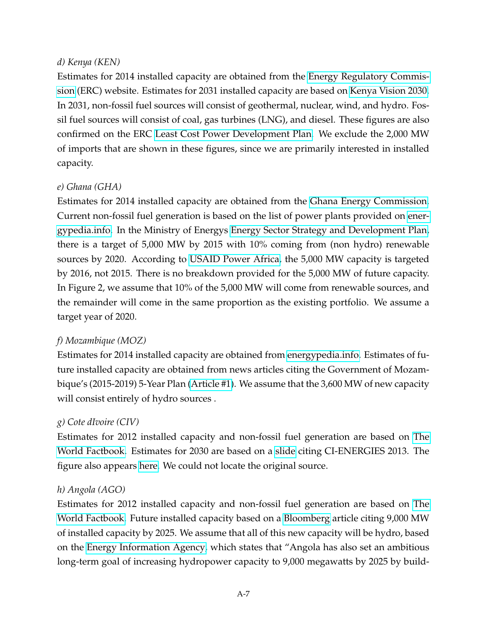## *d) Kenya (KEN)*

Estimates for 2014 installed capacity are obtained from the [Energy Regulatory Commis](http://www.erc.go.ke/images/electricity/installed_elec_capacity_nov2014.jpg)[sion](http://www.erc.go.ke/images/electricity/installed_elec_capacity_nov2014.jpg) (ERC) website. Estimates for 2031 installed capacity are based on [Kenya Vision 2030.](https://www.iaea.org/NuclearPower/Downloadable/Meetings/2014/2015-02-03-02-06/D2_S5_Kenya_Juma.pdf) In 2031, non-fossil fuel sources will consist of geothermal, nuclear, wind, and hydro. Fossil fuel sources will consist of coal, gas turbines (LNG), and diesel. These figures are also confirmed on the ERC [Least Cost Power Development Plan.](http://www.renewableenergy.go.ke/index.php/content/44) We exclude the 2,000 MW of imports that are shown in these figures, since we are primarily interested in installed capacity.

## *e) Ghana (GHA)*

Estimates for 2014 installed capacity are obtained from the [Ghana Energy Commission.](http://energycom.gov.gh/files/Energy Outlook for Ghana - 2015.pdf) Current non-fossil fuel generation is based on the list of power plants provided on [ener](https://energypedia.info/wiki/Ghana_Energy_Situation)[gypedia.info.](https://energypedia.info/wiki/Ghana_Energy_Situation) In the Ministry of Energys [Energy Sector Strategy and Development Plan,](http://ghanaoilwatch.org/images/laws/energy_strategy.pdf) there is a target of 5,000 MW by 2015 with 10% coming from (non hydro) renewable sources by 2020. According to [USAID Power Africa,](https://www.usaid.gov/sites/default/files/documents/1860/Ghana Country Fact Sheet__04_01_15_Final.pdf) the 5,000 MW capacity is targeted by 2016, not 2015. There is no breakdown provided for the 5,000 MW of future capacity. In Figure 2, we assume that 10% of the 5,000 MW will come from renewable sources, and the remainder will come in the same proportion as the existing portfolio. We assume a target year of 2020.

## *f) Mozambique (MOZ)*

Estimates for 2014 installed capacity are obtained from [energypedia.info.](https://energypedia.info/wiki/Mozambique_Energy_Situation) Estimates of future installed capacity are obtained from news articles citing the Government of Mozambique's (2015-2019) 5-Year Plan [\(Article #1\)](http://www.macauhub.com.mo/en/2015/03/25/new-dams-add-3600-megawatts-of-power-production-in-mozambique/). We assume that the 3,600 MW of new capacity will consist entirely of hydro sources .

## *g) Cote dIvoire (CIV)*

Estimates for 2012 installed capacity and non-fossil fuel generation are based on [The](https://www.cia.gov/library/publications/the-world-factbook/) [World Factbook.](https://www.cia.gov/library/publications/the-world-factbook/) Estimates for 2030 are based on a [slide](http://blog.secteur-prive-developpement.fr/media/02/01/1268471085.png) citing CI-ENERGIES 2013. The figure also appears [here.](http://www.proparco.fr/webdav/site/proparco/shared/PORTAILS/Secteur_prive_developpement/PDF/SPD18/SPD18_Amidou_traore_FR.pdf) We could not locate the original source.

## *h) Angola (AGO)*

Estimates for 2012 installed capacity and non-fossil fuel generation are based on [The](https://www.cia.gov/library/publications/the-world-factbook/) [World Factbook.](https://www.cia.gov/library/publications/the-world-factbook/) Future installed capacity based on a [Bloomberg](http://www.bloomberg.com/news/articles/2013-10-03/angola-plans-to-raise-power-output-fivefold-to-attract-investors) article citing 9,000 MW of installed capacity by 2025. We assume that all of this new capacity will be hydro, based on the [Energy Information Agency,](https://www.eia.gov/beta/international/analysis.cfm?iso=AGO) which states that "Angola has also set an ambitious long-term goal of increasing hydropower capacity to 9,000 megawatts by 2025 by build